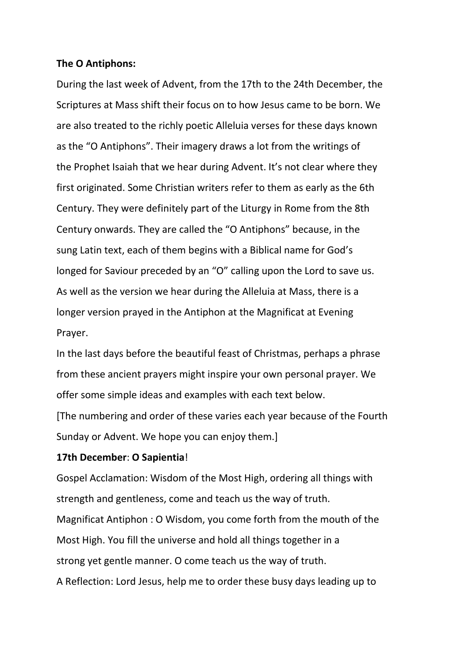#### **The O Antiphons:**

During the last week of Advent, from the 17th to the 24th December, the Scriptures at Mass shift their focus on to how Jesus came to be born. We are also treated to the richly poetic Alleluia verses for these days known as the "O Antiphons". Their imagery draws a lot from the writings of the Prophet Isaiah that we hear during Advent. It's not clear where they first originated. Some Christian writers refer to them as early as the 6th Century. They were definitely part of the Liturgy in Rome from the 8th Century onwards. They are called the "O Antiphons" because, in the sung Latin text, each of them begins with a Biblical name for God's longed for Saviour preceded by an "O" calling upon the Lord to save us. As well as the version we hear during the Alleluia at Mass, there is a longer version prayed in the Antiphon at the Magnificat at Evening Prayer.

In the last days before the beautiful feast of Christmas, perhaps a phrase from these ancient prayers might inspire your own personal prayer. We offer some simple ideas and examples with each text below.

[The numbering and order of these varies each year because of the Fourth Sunday or Advent. We hope you can enjoy them.]

#### **17th December**: **O Sapientia**!

Gospel Acclamation: Wisdom of the Most High, ordering all things with strength and gentleness, come and teach us the way of truth. Magnificat Antiphon : O Wisdom, you come forth from the mouth of the Most High. You fill the universe and hold all things together in a strong yet gentle manner. O come teach us the way of truth. A Reflection: Lord Jesus, help me to order these busy days leading up to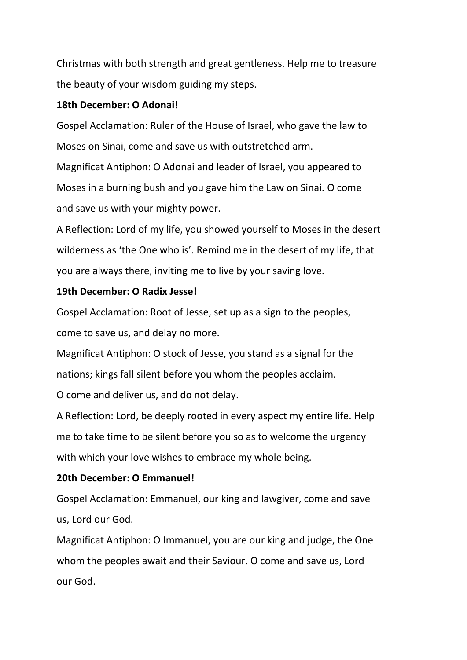Christmas with both strength and great gentleness. Help me to treasure the beauty of your wisdom guiding my steps.

## **18th December: O Adonai!**

Gospel Acclamation: Ruler of the House of Israel, who gave the law to Moses on Sinai, come and save us with outstretched arm. Magnificat Antiphon: O Adonai and leader of Israel, you appeared to Moses in a burning bush and you gave him the Law on Sinai. O come and save us with your mighty power.

A Reflection: Lord of my life, you showed yourself to Moses in the desert wilderness as 'the One who is'. Remind me in the desert of my life, that you are always there, inviting me to live by your saving love.

## **19th December: O Radix Jesse!**

Gospel Acclamation: Root of Jesse, set up as a sign to the peoples,

come to save us, and delay no more.

Magnificat Antiphon: O stock of Jesse, you stand as a signal for the nations; kings fall silent before you whom the peoples acclaim.

O come and deliver us, and do not delay.

A Reflection: Lord, be deeply rooted in every aspect my entire life. Help me to take time to be silent before you so as to welcome the urgency with which your love wishes to embrace my whole being.

# **20th December: O Emmanuel!**

Gospel Acclamation: Emmanuel, our king and lawgiver, come and save us, Lord our God.

Magnificat Antiphon: O Immanuel, you are our king and judge, the One whom the peoples await and their Saviour. O come and save us, Lord our God.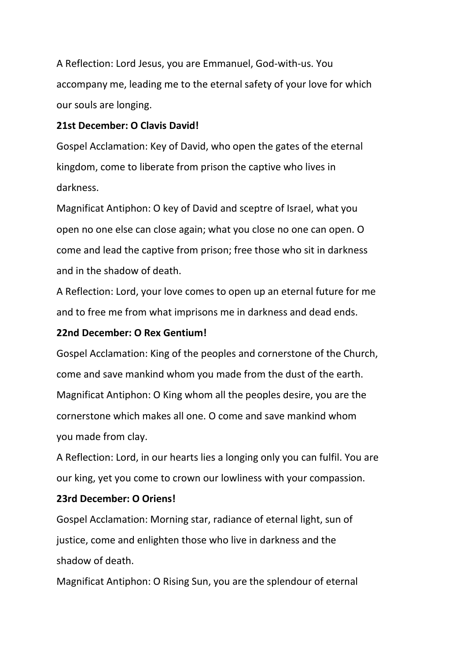A Reflection: Lord Jesus, you are Emmanuel, God-with-us. You accompany me, leading me to the eternal safety of your love for which our souls are longing.

# **21st December: O Clavis David!**

Gospel Acclamation: Key of David, who open the gates of the eternal kingdom, come to liberate from prison the captive who lives in darkness.

Magnificat Antiphon: O key of David and sceptre of Israel, what you open no one else can close again; what you close no one can open. O come and lead the captive from prison; free those who sit in darkness and in the shadow of death.

A Reflection: Lord, your love comes to open up an eternal future for me and to free me from what imprisons me in darkness and dead ends.

## **22nd December: O Rex Gentium!**

Gospel Acclamation: King of the peoples and cornerstone of the Church, come and save mankind whom you made from the dust of the earth. Magnificat Antiphon: O King whom all the peoples desire, you are the cornerstone which makes all one. O come and save mankind whom you made from clay.

A Reflection: Lord, in our hearts lies a longing only you can fulfil. You are our king, yet you come to crown our lowliness with your compassion.

### **23rd December: O Oriens!**

Gospel Acclamation: Morning star, radiance of eternal light, sun of justice, come and enlighten those who live in darkness and the shadow of death.

Magnificat Antiphon: O Rising Sun, you are the splendour of eternal